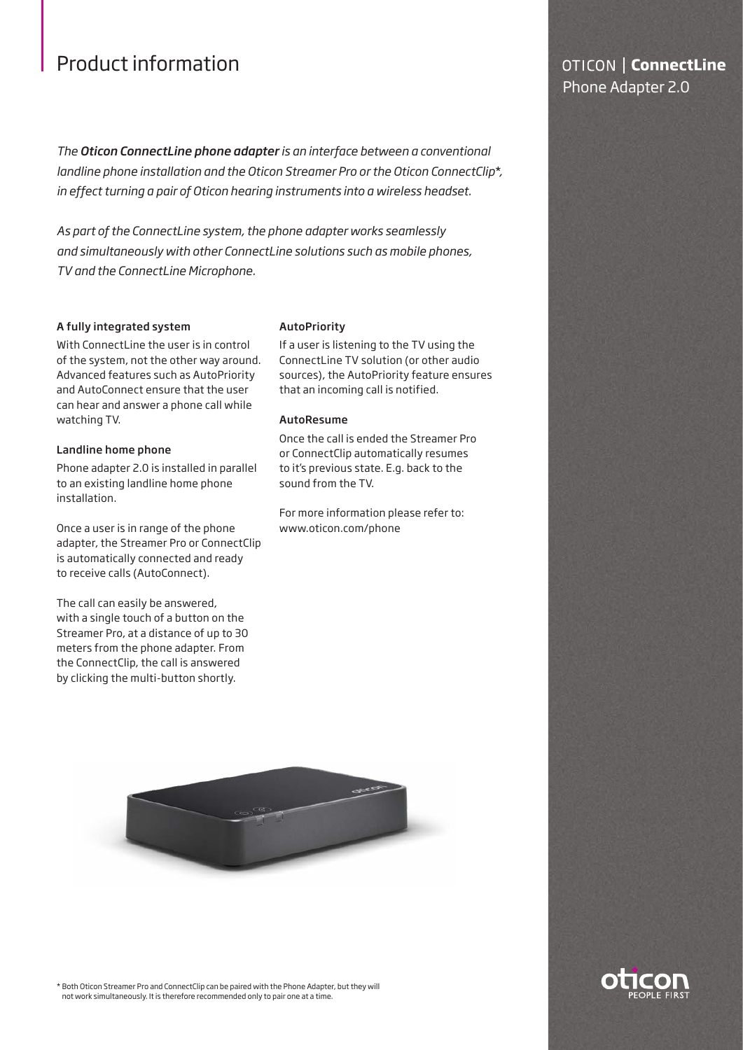# Product information

*The Oticon ConnectLine phone adapter is an interface between a conventional landline phone installation and the Oticon Streamer Pro or the Oticon ConnectClip\*, in effect turning a pair of Oticon hearing instruments into a wireless headset.*

*As part of the ConnectLine system, the phone adapter works seamlessly and simultaneously with other ConnectLine solutions such as mobile phones, TV and the ConnectLine Microphone.*

### A fully integrated system

With ConnectLine the user is in control of the system, not the other way around. Advanced features such as AutoPriority and AutoConnect ensure that the user can hear and answer a phone call while watching TV.

#### Landline home phone

Phone adapter 2.0 is installed in parallel to an existing landline home phone installation.

Once a user is in range of the phone adapter, the Streamer Pro or ConnectClip is automatically connected and ready to receive calls (AutoConnect).

The call can easily be answered, with a single touch of a button on the Streamer Pro, at a distance of up to 30 meters from the phone adapter. From the ConnectClip, the call is answered by clicking the multi-button shortly.

#### **AutoPriority**

If a user is listening to the TV using the ConnectLine TV solution (or other audio sources), the AutoPriority feature ensures that an incoming call is notified.

#### AutoResume

Once the call is ended the Streamer Pro or ConnectClip automatically resumes to it's previous state. E.g. back to the sound from the TV.

For more information please refer to: www.oticon.com/phone



\* Both Oticon Streamer Pro and ConnectClip can be paired with the Phone Adapter, but they will not work simultaneously. It is therefore recommended only to pair one at a time.

## **OTICON | ConnectLine** Phone Adapter 2.0